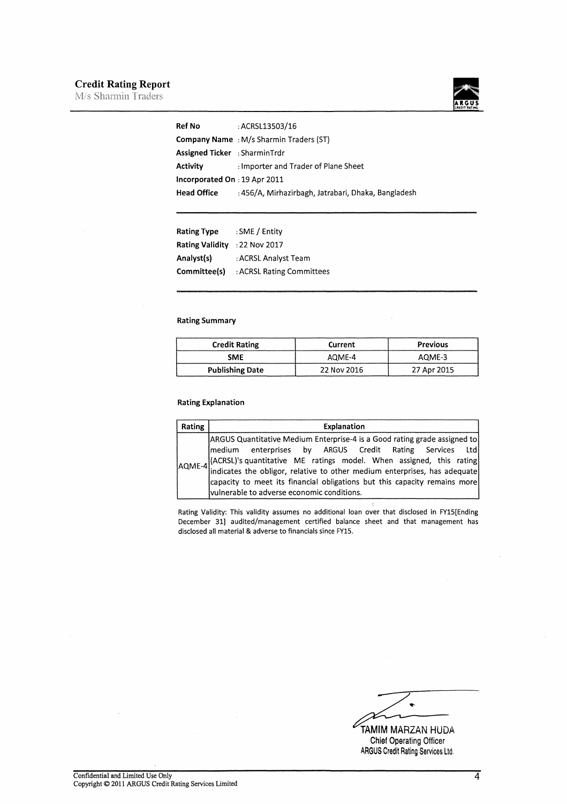## Credit Rating Report

M/s Sharmin Traders



| <b>Ref No</b>                 | : ACRSL13503/16                                     |
|-------------------------------|-----------------------------------------------------|
|                               | <b>Company Name</b> : M/s Sharmin Traders (ST)      |
| Assigned Ticker: SharminTrdr  |                                                     |
| Activity                      | : Importer and Trader of Plane Sheet                |
| Incorporated On : 19 Apr 2011 |                                                     |
| <b>Head Office</b>            | : 456/A, Mirhazirbagh, Jatrabari, Dhaka, Bangladesh |
|                               |                                                     |

| <b>Rating Type</b>            | : SME / Entity            |
|-------------------------------|---------------------------|
| Rating Validity : 22 Nov 2017 |                           |
| Analyst(s)                    | : ACRSL Analyst Team      |
| Committee(s)                  | : ACRSL Rating Committees |

## Rating Summary

| <b>Credit Rating</b>   | Current     | <b>Previous</b> |
|------------------------|-------------|-----------------|
| SME                    | AOME-4      | AOME-3          |
| <b>Publishing Date</b> | 22 Nov 2016 | 27 Apr 2015     |

#### Rating Explanation

| Rating | <b>Explanation</b>                                                                                                                                                                                                                                                                                                                                                                                                          |
|--------|-----------------------------------------------------------------------------------------------------------------------------------------------------------------------------------------------------------------------------------------------------------------------------------------------------------------------------------------------------------------------------------------------------------------------------|
|        | ARGUS Quantitative Medium Enterprise-4 is a Good rating grade assigned to<br> medium enterprises by ARGUS Credit Rating Services Ltd <br>AQME-4 (ACRSL)'s quantitative ME ratings model. When assigned, this rating<br>indicates the obligor, relative to other medium enterprises, has adequate<br>capacity to meet its financial obligations but this capacity remains more<br>vulnerable to adverse economic conditions. |

Rating Validity: This validity assumes no additional loan over that disclosed in FY15[Ending December 31) audited/management certified balance sheet and that management has disclosed all material & adverse to financials since FY15.

TAMIM MARZAN HUDA<br>Chief Operating Officer

ARGUS Credit Rating Services Ltd.

4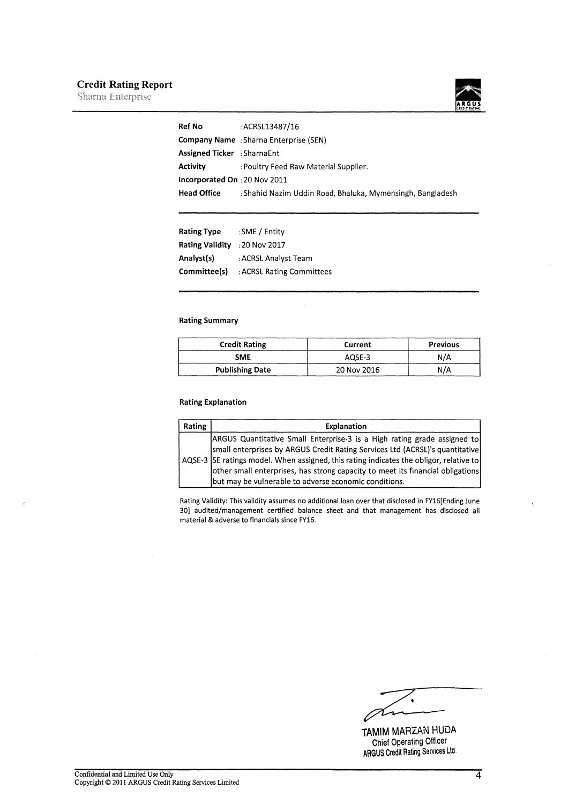## **Credit Rating Report**<br>Sharna Enterprise



| <b>Ref No</b>                | : ACRSL13487/16                                            |
|------------------------------|------------------------------------------------------------|
|                              | <b>Company Name</b> : Sharna Enterprise (SEN)              |
| Assigned Ticker: SharnaEnt   |                                                            |
| Activity                     | : Poultry Feed Raw Material Supplier.                      |
| Incorporated On: 20 Nov 2011 |                                                            |
| <b>Head Office</b>           | : Shahid Nazim Uddin Road, Bhaluka, Mymensingh, Bangladesh |
|                              |                                                            |

| <b>Rating Type</b> | : SME / Entity            |
|--------------------|---------------------------|
| Rating Validity    | : 20 Nov 2017             |
| Analyst(s)         | : ACRSL Analyst Team      |
| Committee(s)       | : ACRSL Rating Committees |

## Rating Summary

| <b>Credit Rating</b>   | Current     | <b>Previous</b> |
|------------------------|-------------|-----------------|
| <b>SME</b>             | AOSE-3      | N/A             |
| <b>Publishing Date</b> | 20 Nov 2016 | N/A             |

### Rating Explanation

| Rating | Explanation                                                                                                                                                                                                                                                                                                                                                                                   |
|--------|-----------------------------------------------------------------------------------------------------------------------------------------------------------------------------------------------------------------------------------------------------------------------------------------------------------------------------------------------------------------------------------------------|
|        | ARGUS Quantitative Small Enterprise-3 is a High rating grade assigned to<br>small enterprises by ARGUS Credit Rating Services Ltd (ACRSL)'s quantitative<br>AQSE-3 SE ratings model. When assigned, this rating indicates the obligor, relative to<br>other small enterprises, has strong capacity to meet its financial obligations<br>but may be vulnerable to adverse economic conditions. |

Rating Validity: This validity assumes no additional loan over that disclosed in FY16[Ending June 30] audited/management certified balance sheet and that management has disclosed all material & adverse to financials since FY16.

٠

TAMIM MARZAN HUDA Chief Operating Officer ARGUS Credit Rating Services LId